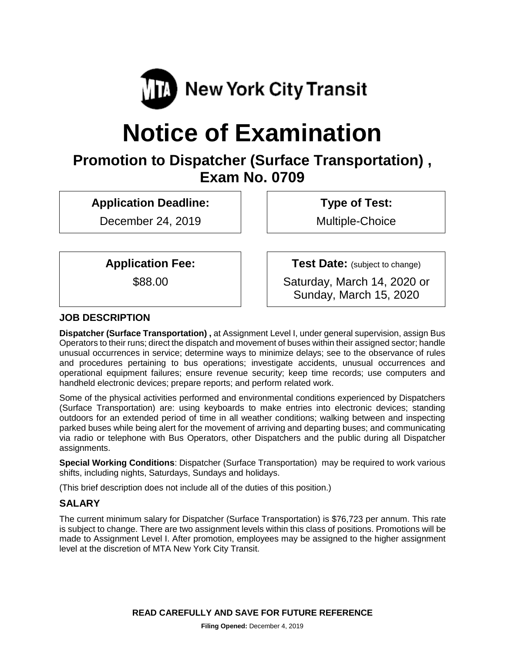

# **Notice of Examination**

### **Promotion to Dispatcher (Surface Transportation) , Exam No. 0709**

**Application Deadline:**

December 24, 2019

**Type of Test:** 

Multiple-Choice

**Application Fee:**

\$88.00

**Test Date:** (subject to change) Saturday, March 14, 2020 or

Sunday, March 15, 2020

#### **JOB DESCRIPTION**

**Dispatcher (Surface Transportation) ,** at Assignment Level I, under general supervision, assign Bus Operators to their runs; direct the dispatch and movement of buses within their assigned sector; handle unusual occurrences in service; determine ways to minimize delays; see to the observance of rules and procedures pertaining to bus operations; investigate accidents, unusual occurrences and operational equipment failures; ensure revenue security; keep time records; use computers and handheld electronic devices; prepare reports; and perform related work.

Some of the physical activities performed and environmental conditions experienced by Dispatchers (Surface Transportation) are: using keyboards to make entries into electronic devices; standing outdoors for an extended period of time in all weather conditions; walking between and inspecting parked buses while being alert for the movement of arriving and departing buses; and communicating via radio or telephone with Bus Operators, other Dispatchers and the public during all Dispatcher assignments.

**Special Working Conditions**: Dispatcher (Surface Transportation) may be required to work various shifts, including nights, Saturdays, Sundays and holidays.

(This brief description does not include all of the duties of this position.)

#### **SALARY**

The current minimum salary for Dispatcher (Surface Transportation) is \$76,723 per annum. This rate is subject to change. There are two assignment levels within this class of positions. Promotions will be made to Assignment Level I. After promotion, employees may be assigned to the higher assignment level at the discretion of MTA New York City Transit.

**READ CAREFULLY AND SAVE FOR FUTURE REFERENCE**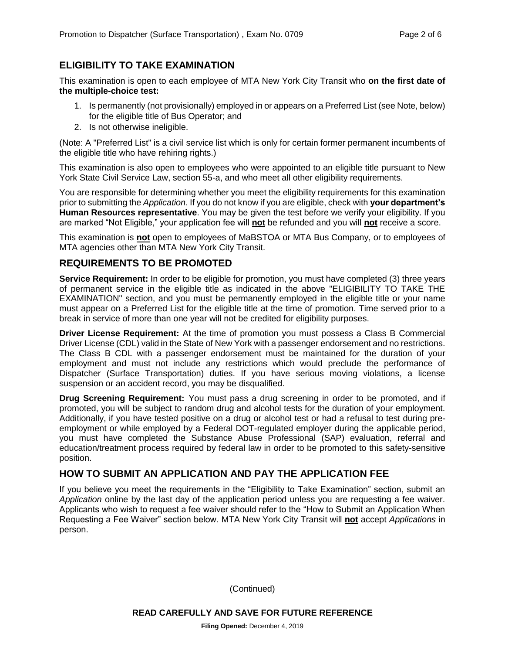#### **ELIGIBILITY TO TAKE EXAMINATION**

This examination is open to each employee of MTA New York City Transit who **on the first date of the multiple-choice test:**

- 1. Is permanently (not provisionally) employed in or appears on a Preferred List (see Note, below) for the eligible title of Bus Operator; and
- 2. Is not otherwise ineligible.

(Note: A "Preferred List" is a civil service list which is only for certain former permanent incumbents of the eligible title who have rehiring rights.)

This examination is also open to employees who were appointed to an eligible title pursuant to New York State Civil Service Law, section 55-a, and who meet all other eligibility requirements.

You are responsible for determining whether you meet the eligibility requirements for this examination prior to submitting the *Application*. If you do not know if you are eligible, check with **your department's Human Resources representative**. You may be given the test before we verify your eligibility. If you are marked "Not Eligible," your application fee will **not** be refunded and you will **not** receive a score.

This examination is **not** open to employees of MaBSTOA or MTA Bus Company, or to employees of MTA agencies other than MTA New York City Transit.

#### **REQUIREMENTS TO BE PROMOTED**

**Service Requirement:** In order to be eligible for promotion, you must have completed (3) three years of permanent service in the eligible title as indicated in the above "ELIGIBILITY TO TAKE THE EXAMINATION" section, and you must be permanently employed in the eligible title or your name must appear on a Preferred List for the eligible title at the time of promotion. Time served prior to a break in service of more than one year will not be credited for eligibility purposes.

**Driver License Requirement:** At the time of promotion you must possess a Class B Commercial Driver License (CDL) valid in the State of New York with a passenger endorsement and no restrictions. The Class B CDL with a passenger endorsement must be maintained for the duration of your employment and must not include any restrictions which would preclude the performance of Dispatcher (Surface Transportation) duties. If you have serious moving violations, a license suspension or an accident record, you may be disqualified.

**Drug Screening Requirement:** You must pass a drug screening in order to be promoted, and if promoted, you will be subject to random drug and alcohol tests for the duration of your employment. Additionally, if you have tested positive on a drug or alcohol test or had a refusal to test during preemployment or while employed by a Federal DOT-regulated employer during the applicable period, you must have completed the Substance Abuse Professional (SAP) evaluation, referral and education/treatment process required by federal law in order to be promoted to this safety-sensitive position.

#### **HOW TO SUBMIT AN APPLICATION AND PAY THE APPLICATION FEE**

If you believe you meet the requirements in the "Eligibility to Take Examination" section, submit an *Application* online by the last day of the application period unless you are requesting a fee waiver. Applicants who wish to request a fee waiver should refer to the "How to Submit an Application When Requesting a Fee Waiver" section below. MTA New York City Transit will **not** accept *Applications* in person.

(Continued)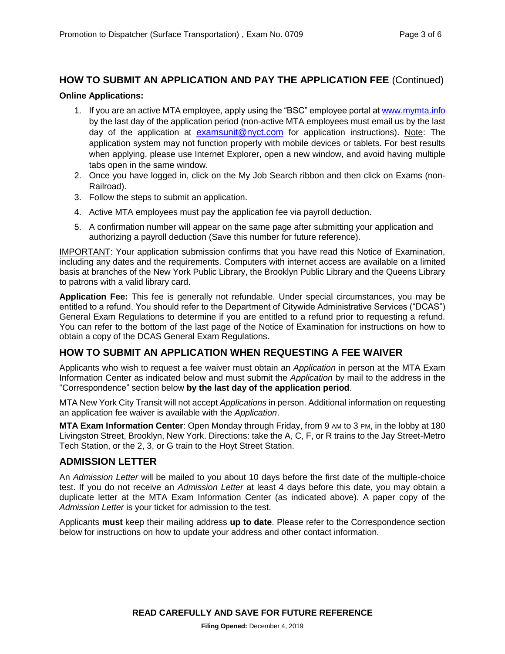## **HOW TO SUBMIT AN APPLICATION AND PAY THE APPLICATION FEE** (Continued)

#### **Online Applications:**

- 1. If you are an active MTA employee, apply using the "BSC" employee portal at [www.mymta.info](http://www.mymta.info/) by the last day of the application period (non-active MTA employees must email us by the last day of the application at [examsunit@nyct.com](mailto:examsunit@nyct.com) for application instructions). Note: The application system may not function properly with mobile devices or tablets. For best results when applying, please use Internet Explorer, open a new window, and avoid having multiple tabs open in the same window.
- 2. Once you have logged in, click on the My Job Search ribbon and then click on Exams (non-Railroad).
- 3. Follow the steps to submit an application.
- 4. Active MTA employees must pay the application fee via payroll deduction.
- 5. A confirmation number will appear on the same page after submitting your application and authorizing a payroll deduction (Save this number for future reference).

IMPORTANT: Your application submission confirms that you have read this Notice of Examination, including any dates and the requirements. Computers with internet access are available on a limited basis at branches of the New York Public Library, the Brooklyn Public Library and the Queens Library to patrons with a valid library card.

**Application Fee:** This fee is generally not refundable. Under special circumstances, you may be entitled to a refund. You should refer to the Department of Citywide Administrative Services ("DCAS") General Exam Regulations to determine if you are entitled to a refund prior to requesting a refund. You can refer to the bottom of the last page of the Notice of Examination for instructions on how to obtain a copy of the DCAS General Exam Regulations.

#### **HOW TO SUBMIT AN APPLICATION WHEN REQUESTING A FEE WAIVER**

Applicants who wish to request a fee waiver must obtain an *Application* in person at the MTA Exam Information Center as indicated below and must submit the *Application* by mail to the address in the "Correspondence" section below **by the last day of the application period**.

MTA New York City Transit will not accept *Applications* in person. Additional information on requesting an application fee waiver is available with the *Application*.

**MTA Exam Information Center**: Open Monday through Friday, from 9 AM to 3 PM, in the lobby at 180 Livingston Street, Brooklyn, New York. Directions: take the A, C, F, or R trains to the Jay Street-Metro Tech Station, or the 2, 3, or G train to the Hoyt Street Station.

#### **ADMISSION LETTER**

An *Admission Letter* will be mailed to you about 10 days before the first date of the multiple-choice test. If you do not receive an *Admission Letter* at least 4 days before this date, you may obtain a duplicate letter at the MTA Exam Information Center (as indicated above). A paper copy of the *Admission Letter* is your ticket for admission to the test.

Applicants **must** keep their mailing address **up to date**. Please refer to the Correspondence section below for instructions on how to update your address and other contact information.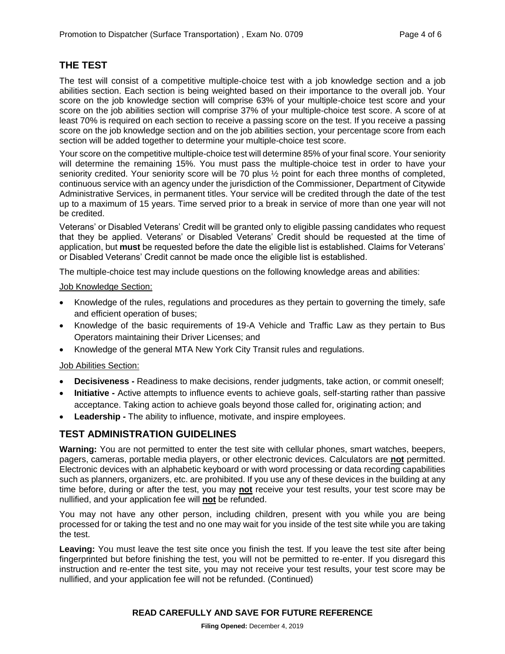#### **THE TEST**

The test will consist of a competitive multiple-choice test with a job knowledge section and a job abilities section. Each section is being weighted based on their importance to the overall job. Your score on the job knowledge section will comprise 63% of your multiple-choice test score and your score on the job abilities section will comprise 37% of your multiple-choice test score. A score of at least 70% is required on each section to receive a passing score on the test. If you receive a passing score on the job knowledge section and on the job abilities section, your percentage score from each section will be added together to determine your multiple-choice test score.

Your score on the competitive multiple-choice test will determine 85% of your final score. Your seniority will determine the remaining 15%. You must pass the multiple-choice test in order to have your seniority credited. Your seniority score will be 70 plus  $\frac{1}{2}$  point for each three months of completed, continuous service with an agency under the jurisdiction of the Commissioner, Department of Citywide Administrative Services, in permanent titles. Your service will be credited through the date of the test up to a maximum of 15 years. Time served prior to a break in service of more than one year will not be credited.

Veterans' or Disabled Veterans' Credit will be granted only to eligible passing candidates who request that they be applied. Veterans' or Disabled Veterans' Credit should be requested at the time of application, but **must** be requested before the date the eligible list is established. Claims for Veterans' or Disabled Veterans' Credit cannot be made once the eligible list is established.

The multiple-choice test may include questions on the following knowledge areas and abilities:

#### Job Knowledge Section:

- Knowledge of the rules, regulations and procedures as they pertain to governing the timely, safe and efficient operation of buses;
- Knowledge of the basic requirements of 19-A Vehicle and Traffic Law as they pertain to Bus Operators maintaining their Driver Licenses; and
- Knowledge of the general MTA New York City Transit rules and regulations.

#### Job Abilities Section:

- **Decisiveness -** Readiness to make decisions, render judgments, take action, or commit oneself;
- **Initiative -** Active attempts to influence events to achieve goals, self-starting rather than passive acceptance. Taking action to achieve goals beyond those called for, originating action; and
- **Leadership -** The ability to influence, motivate, and inspire employees.

#### **TEST ADMINISTRATION GUIDELINES**

**Warning:** You are not permitted to enter the test site with cellular phones, smart watches, beepers, pagers, cameras, portable media players, or other electronic devices. Calculators are **not** permitted. Electronic devices with an alphabetic keyboard or with word processing or data recording capabilities such as planners, organizers, etc. are prohibited. If you use any of these devices in the building at any time before, during or after the test, you may **not** receive your test results, your test score may be nullified, and your application fee will **not** be refunded.

You may not have any other person, including children, present with you while you are being processed for or taking the test and no one may wait for you inside of the test site while you are taking the test.

**Leaving:** You must leave the test site once you finish the test. If you leave the test site after being fingerprinted but before finishing the test, you will not be permitted to re-enter. If you disregard this instruction and re-enter the test site, you may not receive your test results, your test score may be nullified, and your application fee will not be refunded. (Continued)

#### **READ CAREFULLY AND SAVE FOR FUTURE REFERENCE**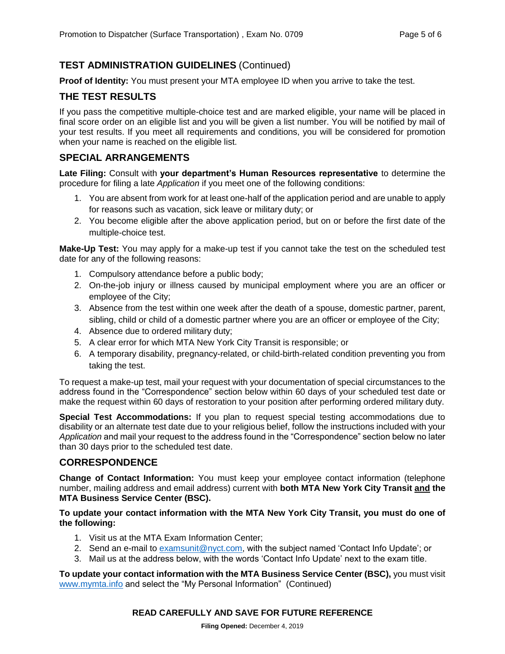#### **TEST ADMINISTRATION GUIDELINES** (Continued)

**Proof of Identity:** You must present your MTA employee ID when you arrive to take the test.

#### **THE TEST RESULTS**

If you pass the competitive multiple-choice test and are marked eligible, your name will be placed in final score order on an eligible list and you will be given a list number. You will be notified by mail of your test results. If you meet all requirements and conditions, you will be considered for promotion when your name is reached on the eligible list.

#### **SPECIAL ARRANGEMENTS**

**Late Filing:** Consult with **your department's Human Resources representative** to determine the procedure for filing a late *Application* if you meet one of the following conditions:

- 1. You are absent from work for at least one-half of the application period and are unable to apply for reasons such as vacation, sick leave or military duty; or
- 2. You become eligible after the above application period, but on or before the first date of the multiple-choice test.

**Make-Up Test:** You may apply for a make-up test if you cannot take the test on the scheduled test date for any of the following reasons:

- 1. Compulsory attendance before a public body;
- 2. On-the-job injury or illness caused by municipal employment where you are an officer or employee of the City;
- 3. Absence from the test within one week after the death of a spouse, domestic partner, parent, sibling, child or child of a domestic partner where you are an officer or employee of the City;
- 4. Absence due to ordered military duty;
- 5. A clear error for which MTA New York City Transit is responsible; or
- 6. A temporary disability, pregnancy-related, or child-birth-related condition preventing you from taking the test.

To request a make-up test, mail your request with your documentation of special circumstances to the address found in the "Correspondence" section below within 60 days of your scheduled test date or make the request within 60 days of restoration to your position after performing ordered military duty.

**Special Test Accommodations:** If you plan to request special testing accommodations due to disability or an alternate test date due to your religious belief, follow the instructions included with your *Application* and mail your request to the address found in the "Correspondence" section below no later than 30 days prior to the scheduled test date.

#### **CORRESPONDENCE**

**Change of Contact Information:** You must keep your employee contact information (telephone number, mailing address and email address) current with **both MTA New York City Transit and the MTA Business Service Center (BSC).**

#### **To update your contact information with the MTA New York City Transit, you must do one of the following:**

- 1. Visit us at the MTA Exam Information Center;
- 2. Send an e-mail to [examsunit@nyct.com,](mailto:examsunit@nyct.com) with the subject named 'Contact Info Update'; or
- 3. Mail us at the address below, with the words 'Contact Info Update' next to the exam title.

**To update your contact information with the MTA Business Service Center (BSC),** you must visit [www.mymta.info](http://www.mymta.info/) and select the "My Personal Information" (Continued)

#### **READ CAREFULLY AND SAVE FOR FUTURE REFERENCE**